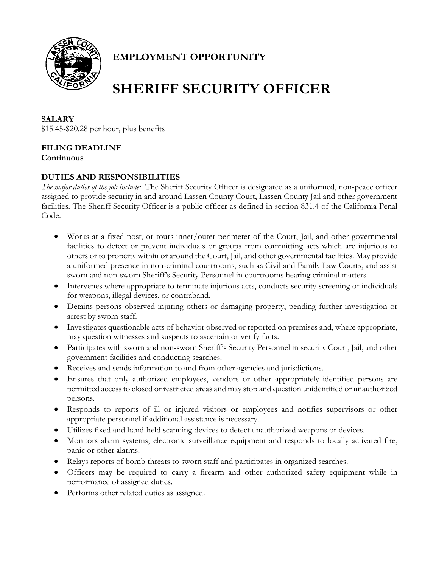

# **EMPLOYMENT OPPORTUNITY**

# **SHERIFF SECURITY OFFICER**

### **SALARY**

\$15.45-\$20.28 per hour, plus benefits

# **FILING DEADLINE**

**Continuous**

## **DUTIES AND RESPONSIBILITIES**

*The major duties of the job include:* The Sheriff Security Officer is designated as a uniformed, non-peace officer assigned to provide security in and around Lassen County Court, Lassen County Jail and other government facilities. The Sheriff Security Officer is a public officer as defined in section 831.4 of the California Penal Code.

- Works at a fixed post, or tours inner/outer perimeter of the Court, Jail, and other governmental facilities to detect or prevent individuals or groups from committing acts which are injurious to others or to property within or around the Court, Jail, and other governmental facilities. May provide a uniformed presence in non-criminal courtrooms, such as Civil and Family Law Courts, and assist sworn and non-sworn Sheriff's Security Personnel in courtrooms hearing criminal matters.
- Intervenes where appropriate to terminate injurious acts, conducts security screening of individuals for weapons, illegal devices, or contraband.
- Detains persons observed injuring others or damaging property, pending further investigation or arrest by sworn staff.
- Investigates questionable acts of behavior observed or reported on premises and, where appropriate, may question witnesses and suspects to ascertain or verify facts.
- Participates with sworn and non-sworn Sheriff's Security Personnel in security Court, Jail, and other government facilities and conducting searches.
- Receives and sends information to and from other agencies and jurisdictions.
- Ensures that only authorized employees, vendors or other appropriately identified persons are permitted access to closed or restricted areas and may stop and question unidentified or unauthorized persons.
- Responds to reports of ill or injured visitors or employees and notifies supervisors or other appropriate personnel if additional assistance is necessary.
- Utilizes fixed and hand-held scanning devices to detect unauthorized weapons or devices.
- Monitors alarm systems, electronic surveillance equipment and responds to locally activated fire, panic or other alarms.
- Relays reports of bomb threats to sworn staff and participates in organized searches.
- Officers may be required to carry a firearm and other authorized safety equipment while in performance of assigned duties.
- Performs other related duties as assigned.